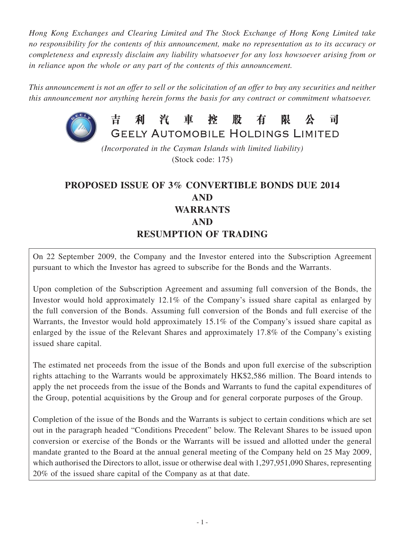*Hong Kong Exchanges and Clearing Limited and The Stock Exchange of Hong Kong Limited take no responsibility for the contents of this announcement, make no representation as to its accuracy or completeness and expressly disclaim any liability whatsoever for any loss howsoever arising from or in reliance upon the whole or any part of the contents of this announcement.*

*This announcement is not an offer to sell or the solicitation of an offer to buy any securities and neither this announcement nor anything herein forms the basis for any contract or commitment whatsoever.*



吉 利 汽 車 控 股 有 限 븨 **GEELY AUTOMOBILE HOLDINGS LIMITED** 

*(Incorporated in the Cayman Islands with limited liability)* (Stock code: 175)

# **PROPOSED ISSUE OF 3% CONVERTIBLE BONDS DUE 2014 AND WARRANTS AND RESUMPTION OF TRADING**

On 22 September 2009, the Company and the Investor entered into the Subscription Agreement pursuant to which the Investor has agreed to subscribe for the Bonds and the Warrants.

Upon completion of the Subscription Agreement and assuming full conversion of the Bonds, the Investor would hold approximately 12.1% of the Company's issued share capital as enlarged by the full conversion of the Bonds. Assuming full conversion of the Bonds and full exercise of the Warrants, the Investor would hold approximately 15.1% of the Company's issued share capital as enlarged by the issue of the Relevant Shares and approximately 17.8% of the Company's existing issued share capital.

The estimated net proceeds from the issue of the Bonds and upon full exercise of the subscription rights attaching to the Warrants would be approximately HK\$2,586 million. The Board intends to apply the net proceeds from the issue of the Bonds and Warrants to fund the capital expenditures of the Group, potential acquisitions by the Group and for general corporate purposes of the Group.

Completion of the issue of the Bonds and the Warrants is subject to certain conditions which are set out in the paragraph headed "Conditions Precedent" below. The Relevant Shares to be issued upon conversion or exercise of the Bonds or the Warrants will be issued and allotted under the general mandate granted to the Board at the annual general meeting of the Company held on 25 May 2009, which authorised the Directors to allot, issue or otherwise deal with 1,297,951,090 Shares, representing 20% of the issued share capital of the Company as at that date.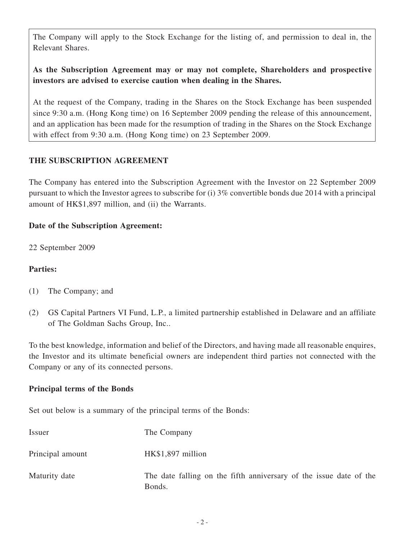The Company will apply to the Stock Exchange for the listing of, and permission to deal in, the Relevant Shares.

# **As the Subscription Agreement may or may not complete, Shareholders and prospective investors are advised to exercise caution when dealing in the Shares.**

At the request of the Company, trading in the Shares on the Stock Exchange has been suspended since 9:30 a.m. (Hong Kong time) on 16 September 2009 pending the release of this announcement, and an application has been made for the resumption of trading in the Shares on the Stock Exchange with effect from 9:30 a.m. (Hong Kong time) on 23 September 2009.

# **THE SUBSCRIPTION AGREEMENT**

The Company has entered into the Subscription Agreement with the Investor on 22 September 2009 pursuant to which the Investor agrees to subscribe for (i) 3% convertible bonds due 2014 with a principal amount of HK\$1,897 million, and (ii) the Warrants.

# **Date of the Subscription Agreement:**

22 September 2009

# **Parties:**

- (1) The Company; and
- (2) GS Capital Partners VI Fund, L.P., a limited partnership established in Delaware and an affiliate of The Goldman Sachs Group, Inc..

To the best knowledge, information and belief of the Directors, and having made all reasonable enquires, the Investor and its ultimate beneficial owners are independent third parties not connected with the Company or any of its connected persons.

## **Principal terms of the Bonds**

Set out below is a summary of the principal terms of the Bonds:

| Issuer           | The Company                                                                  |
|------------------|------------------------------------------------------------------------------|
| Principal amount | HK\$1,897 million                                                            |
| Maturity date    | The date falling on the fifth anniversary of the issue date of the<br>Bonds. |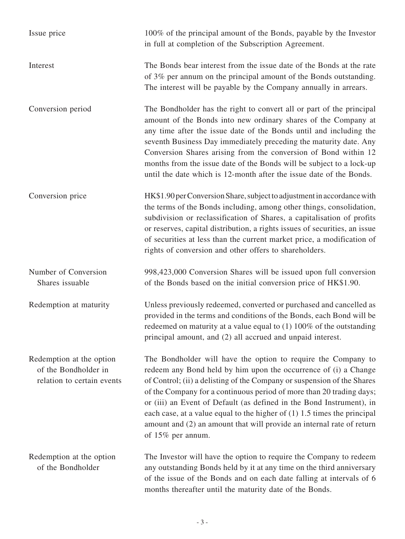| Issue price                                                                    | 100% of the principal amount of the Bonds, payable by the Investor<br>in full at completion of the Subscription Agreement.                                                                                                                                                                                                                                                                                                                                                                                                              |
|--------------------------------------------------------------------------------|-----------------------------------------------------------------------------------------------------------------------------------------------------------------------------------------------------------------------------------------------------------------------------------------------------------------------------------------------------------------------------------------------------------------------------------------------------------------------------------------------------------------------------------------|
| Interest                                                                       | The Bonds bear interest from the issue date of the Bonds at the rate<br>of 3% per annum on the principal amount of the Bonds outstanding.<br>The interest will be payable by the Company annually in arrears.                                                                                                                                                                                                                                                                                                                           |
| Conversion period                                                              | The Bondholder has the right to convert all or part of the principal<br>amount of the Bonds into new ordinary shares of the Company at<br>any time after the issue date of the Bonds until and including the<br>seventh Business Day immediately preceding the maturity date. Any<br>Conversion Shares arising from the conversion of Bond within 12<br>months from the issue date of the Bonds will be subject to a lock-up<br>until the date which is 12-month after the issue date of the Bonds.                                     |
| Conversion price                                                               | HK\$1.90 per Conversion Share, subject to adjustment in accordance with<br>the terms of the Bonds including, among other things, consolidation,<br>subdivision or reclassification of Shares, a capitalisation of profits<br>or reserves, capital distribution, a rights issues of securities, an issue<br>of securities at less than the current market price, a modification of<br>rights of conversion and other offers to shareholders.                                                                                             |
| Number of Conversion<br>Shares issuable                                        | 998,423,000 Conversion Shares will be issued upon full conversion<br>of the Bonds based on the initial conversion price of HK\$1.90.                                                                                                                                                                                                                                                                                                                                                                                                    |
| Redemption at maturity                                                         | Unless previously redeemed, converted or purchased and cancelled as<br>provided in the terms and conditions of the Bonds, each Bond will be<br>redeemed on maturity at a value equal to $(1)$ 100% of the outstanding<br>principal amount, and (2) all accrued and unpaid interest.                                                                                                                                                                                                                                                     |
| Redemption at the option<br>of the Bondholder in<br>relation to certain events | The Bondholder will have the option to require the Company to<br>redeem any Bond held by him upon the occurrence of (i) a Change<br>of Control; (ii) a delisting of the Company or suspension of the Shares<br>of the Company for a continuous period of more than 20 trading days;<br>or (iii) an Event of Default (as defined in the Bond Instrument), in<br>each case, at a value equal to the higher of $(1)$ 1.5 times the principal<br>amount and (2) an amount that will provide an internal rate of return<br>of 15% per annum. |
| Redemption at the option<br>of the Bondholder                                  | The Investor will have the option to require the Company to redeem<br>any outstanding Bonds held by it at any time on the third anniversary<br>of the issue of the Bonds and on each date falling at intervals of 6<br>months thereafter until the maturity date of the Bonds.                                                                                                                                                                                                                                                          |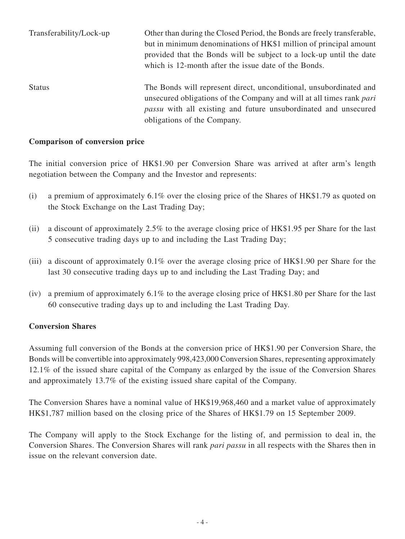| Transferability/Lock-up | Other than during the Closed Period, the Bonds are freely transferable,<br>but in minimum denominations of HK\$1 million of principal amount<br>provided that the Bonds will be subject to a lock-up until the date<br>which is 12-month after the issue date of the Bonds. |
|-------------------------|-----------------------------------------------------------------------------------------------------------------------------------------------------------------------------------------------------------------------------------------------------------------------------|
| <b>Status</b>           | The Bonds will represent direct, unconditional, unsubordinated and<br>unsecured obligations of the Company and will at all times rank part<br><i>passu</i> with all existing and future unsubordinated and unsecured<br>obligations of the Company.                         |

#### **Comparison of conversion price**

The initial conversion price of HK\$1.90 per Conversion Share was arrived at after arm's length negotiation between the Company and the Investor and represents:

- (i) a premium of approximately 6.1% over the closing price of the Shares of HK\$1.79 as quoted on the Stock Exchange on the Last Trading Day;
- (ii) a discount of approximately 2.5% to the average closing price of HK\$1.95 per Share for the last 5 consecutive trading days up to and including the Last Trading Day;
- (iii) a discount of approximately 0.1% over the average closing price of HK\$1.90 per Share for the last 30 consecutive trading days up to and including the Last Trading Day; and
- (iv) a premium of approximately 6.1% to the average closing price of HK\$1.80 per Share for the last 60 consecutive trading days up to and including the Last Trading Day.

#### **Conversion Shares**

Assuming full conversion of the Bonds at the conversion price of HK\$1.90 per Conversion Share, the Bonds will be convertible into approximately 998,423,000 Conversion Shares, representing approximately 12.1% of the issued share capital of the Company as enlarged by the issue of the Conversion Shares and approximately 13.7% of the existing issued share capital of the Company.

The Conversion Shares have a nominal value of HK\$19,968,460 and a market value of approximately HK\$1,787 million based on the closing price of the Shares of HK\$1.79 on 15 September 2009.

The Company will apply to the Stock Exchange for the listing of, and permission to deal in, the Conversion Shares. The Conversion Shares will rank *pari passu* in all respects with the Shares then in issue on the relevant conversion date.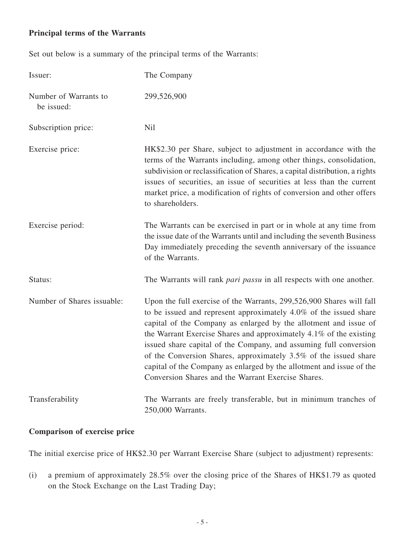# **Principal terms of the Warrants**

Set out below is a summary of the principal terms of the Warrants:

| Issuer:                             | The Company                                                                                                                                                                                                                                                                                                                                                                                                                                                                                                                                                |
|-------------------------------------|------------------------------------------------------------------------------------------------------------------------------------------------------------------------------------------------------------------------------------------------------------------------------------------------------------------------------------------------------------------------------------------------------------------------------------------------------------------------------------------------------------------------------------------------------------|
| Number of Warrants to<br>be issued: | 299,526,900                                                                                                                                                                                                                                                                                                                                                                                                                                                                                                                                                |
| Subscription price:                 | <b>Nil</b>                                                                                                                                                                                                                                                                                                                                                                                                                                                                                                                                                 |
| Exercise price:                     | HK\$2.30 per Share, subject to adjustment in accordance with the<br>terms of the Warrants including, among other things, consolidation,<br>subdivision or reclassification of Shares, a capital distribution, a rights<br>issues of securities, an issue of securities at less than the current<br>market price, a modification of rights of conversion and other offers<br>to shareholders.                                                                                                                                                               |
| Exercise period:                    | The Warrants can be exercised in part or in whole at any time from<br>the issue date of the Warrants until and including the seventh Business<br>Day immediately preceding the seventh anniversary of the issuance<br>of the Warrants.                                                                                                                                                                                                                                                                                                                     |
| Status:                             | The Warrants will rank <i>pari passu</i> in all respects with one another.                                                                                                                                                                                                                                                                                                                                                                                                                                                                                 |
| Number of Shares issuable:          | Upon the full exercise of the Warrants, 299,526,900 Shares will fall<br>to be issued and represent approximately 4.0% of the issued share<br>capital of the Company as enlarged by the allotment and issue of<br>the Warrant Exercise Shares and approximately 4.1% of the existing<br>issued share capital of the Company, and assuming full conversion<br>of the Conversion Shares, approximately 3.5% of the issued share<br>capital of the Company as enlarged by the allotment and issue of the<br>Conversion Shares and the Warrant Exercise Shares. |
| Transferability                     | The Warrants are freely transferable, but in minimum tranches of<br>250,000 Warrants.                                                                                                                                                                                                                                                                                                                                                                                                                                                                      |

# **Comparison of exercise price**

The initial exercise price of HK\$2.30 per Warrant Exercise Share (subject to adjustment) represents:

(i) a premium of approximately 28.5% over the closing price of the Shares of HK\$1.79 as quoted on the Stock Exchange on the Last Trading Day;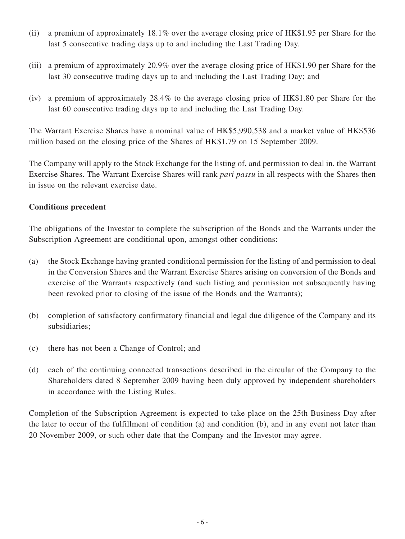- (ii) a premium of approximately 18.1% over the average closing price of HK\$1.95 per Share for the last 5 consecutive trading days up to and including the Last Trading Day.
- (iii) a premium of approximately 20.9% over the average closing price of HK\$1.90 per Share for the last 30 consecutive trading days up to and including the Last Trading Day; and
- (iv) a premium of approximately 28.4% to the average closing price of HK\$1.80 per Share for the last 60 consecutive trading days up to and including the Last Trading Day.

The Warrant Exercise Shares have a nominal value of HK\$5,990,538 and a market value of HK\$536 million based on the closing price of the Shares of HK\$1.79 on 15 September 2009.

The Company will apply to the Stock Exchange for the listing of, and permission to deal in, the Warrant Exercise Shares. The Warrant Exercise Shares will rank *pari passu* in all respects with the Shares then in issue on the relevant exercise date.

## **Conditions precedent**

The obligations of the Investor to complete the subscription of the Bonds and the Warrants under the Subscription Agreement are conditional upon, amongst other conditions:

- (a) the Stock Exchange having granted conditional permission for the listing of and permission to deal in the Conversion Shares and the Warrant Exercise Shares arising on conversion of the Bonds and exercise of the Warrants respectively (and such listing and permission not subsequently having been revoked prior to closing of the issue of the Bonds and the Warrants);
- (b) completion of satisfactory confirmatory financial and legal due diligence of the Company and its subsidiaries;
- (c) there has not been a Change of Control; and
- (d) each of the continuing connected transactions described in the circular of the Company to the Shareholders dated 8 September 2009 having been duly approved by independent shareholders in accordance with the Listing Rules.

Completion of the Subscription Agreement is expected to take place on the 25th Business Day after the later to occur of the fulfillment of condition (a) and condition (b), and in any event not later than 20 November 2009, or such other date that the Company and the Investor may agree.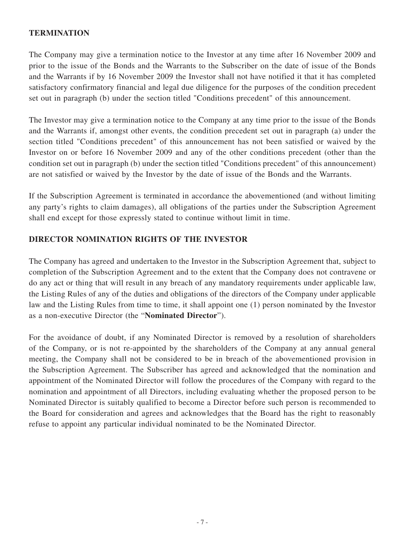## **TERMINATION**

The Company may give a termination notice to the Investor at any time after 16 November 2009 and prior to the issue of the Bonds and the Warrants to the Subscriber on the date of issue of the Bonds and the Warrants if by 16 November 2009 the Investor shall not have notified it that it has completed satisfactory confirmatory financial and legal due diligence for the purposes of the condition precedent set out in paragraph (b) under the section titled "Conditions precedent" of this announcement.

The Investor may give a termination notice to the Company at any time prior to the issue of the Bonds and the Warrants if, amongst other events, the condition precedent set out in paragraph (a) under the section titled "Conditions precedent" of this announcement has not been satisfied or waived by the Investor on or before 16 November 2009 and any of the other conditions precedent (other than the condition set out in paragraph (b) under the section titled "Conditions precedent" of this announcement) are not satisfied or waived by the Investor by the date of issue of the Bonds and the Warrants.

If the Subscription Agreement is terminated in accordance the abovementioned (and without limiting any party's rights to claim damages), all obligations of the parties under the Subscription Agreement shall end except for those expressly stated to continue without limit in time.

# **DIRECTOR NOMINATION RIGHTS OF THE INVESTOR**

The Company has agreed and undertaken to the Investor in the Subscription Agreement that, subject to completion of the Subscription Agreement and to the extent that the Company does not contravene or do any act or thing that will result in any breach of any mandatory requirements under applicable law, the Listing Rules of any of the duties and obligations of the directors of the Company under applicable law and the Listing Rules from time to time, it shall appoint one (1) person nominated by the Investor as a non-executive Director (the "**Nominated Director**").

For the avoidance of doubt, if any Nominated Director is removed by a resolution of shareholders of the Company, or is not re-appointed by the shareholders of the Company at any annual general meeting, the Company shall not be considered to be in breach of the abovementioned provision in the Subscription Agreement. The Subscriber has agreed and acknowledged that the nomination and appointment of the Nominated Director will follow the procedures of the Company with regard to the nomination and appointment of all Directors, including evaluating whether the proposed person to be Nominated Director is suitably qualified to become a Director before such person is recommended to the Board for consideration and agrees and acknowledges that the Board has the right to reasonably refuse to appoint any particular individual nominated to be the Nominated Director.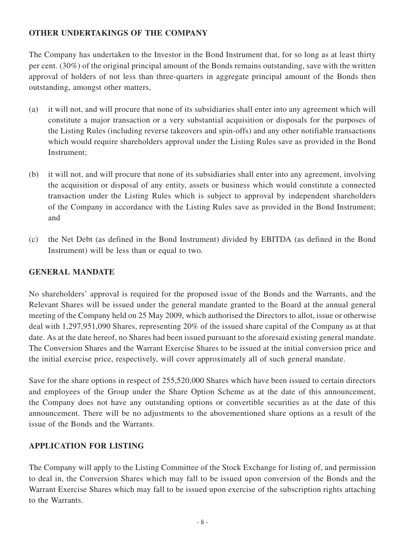# **OTHER UNDERTAKINGS OF THE COMPANY**

The Company has undertaken to the Investor in the Bond Instrument that, for so long as at least thirty per cent. (30%) of the original principal amount of the Bonds remains outstanding, save with the written approval of holders of not less than three-quarters in aggregate principal amount of the Bonds then outstanding, amongst other matters,

- (a) it will not, and will procure that none of its subsidiaries shall enter into any agreement which will constitute a major transaction or a very substantial acquisition or disposals for the purposes of the Listing Rules (including reverse takeovers and spin-offs) and any other notifiable transactions which would require shareholders approval under the Listing Rules save as provided in the Bond Instrument;
- (b) it will not, and will procure that none of its subsidiaries shall enter into any agreement, involving the acquisition or disposal of any entity, assets or business which would constitute a connected transaction under the Listing Rules which is subject to approval by independent shareholders of the Company in accordance with the Listing Rules save as provided in the Bond Instrument; and
- (c) the Net Debt (as defined in the Bond Instrument) divided by EBITDA (as defined in the Bond Instrument) will be less than or equal to two.

## **GENERAL MANDATE**

No shareholders' approval is required for the proposed issue of the Bonds and the Warrants, and the Relevant Shares will be issued under the general mandate granted to the Board at the annual general meeting of the Company held on 25 May 2009, which authorised the Directors to allot, issue or otherwise deal with 1,297,951,090 Shares, representing 20% of the issued share capital of the Company as at that date. As at the date hereof, no Shares had been issued pursuant to the aforesaid existing general mandate. The Conversion Shares and the Warrant Exercise Shares to be issued at the initial conversion price and the initial exercise price, respectively, will cover approximately all of such general mandate.

Save for the share options in respect of 255,520,000 Shares which have been issued to certain directors and employees of the Group under the Share Option Scheme as at the date of this announcement, the Company does not have any outstanding options or convertible securities as at the date of this announcement. There will be no adjustments to the abovementioned share options as a result of the issue of the Bonds and the Warrants.

## **APPLICATION FOR LISTING**

The Company will apply to the Listing Committee of the Stock Exchange for listing of, and permission to deal in, the Conversion Shares which may fall to be issued upon conversion of the Bonds and the Warrant Exercise Shares which may fall to be issued upon exercise of the subscription rights attaching to the Warrants.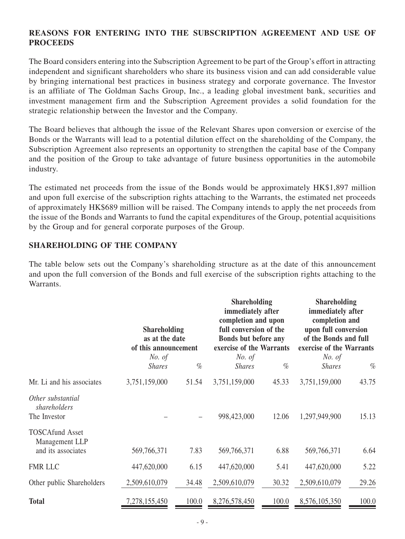## **REASONS FOR entering into THE SUBSCRIPTION AGREEMENT AND USE OF PROCEEDS**

The Board considers entering into the Subscription Agreement to be part of the Group's effort in attracting independent and significant shareholders who share its business vision and can add considerable value by bringing international best practices in business strategy and corporate governance. The Investor is an affiliate of The Goldman Sachs Group, Inc., a leading global investment bank, securities and investment management firm and the Subscription Agreement provides a solid foundation for the strategic relationship between the Investor and the Company.

The Board believes that although the issue of the Relevant Shares upon conversion or exercise of the Bonds or the Warrants will lead to a potential dilution effect on the shareholding of the Company, the Subscription Agreement also represents an opportunity to strengthen the capital base of the Company and the position of the Group to take advantage of future business opportunities in the automobile industry.

The estimated net proceeds from the issue of the Bonds would be approximately HK\$1,897 million and upon full exercise of the subscription rights attaching to the Warrants, the estimated net proceeds of approximately HK\$689 million will be raised. The Company intends to apply the net proceeds from the issue of the Bonds and Warrants to fund the capital expenditures of the Group, potential acquisitions by the Group and for general corporate purposes of the Group.

## **SHAREHOLDING OF THE COMPANY**

The table below sets out the Company's shareholding structure as at the date of this announcement and upon the full conversion of the Bonds and full exercise of the subscription rights attaching to the Warrants.

|                                                                | <b>Shareholding</b><br>as at the date<br>of this announcement |       | <b>Shareholding</b><br>immediately after<br>completion and upon<br>full conversion of the<br>Bonds but before any<br>exercise of the Warrants |       | <b>Shareholding</b><br>immediately after<br>completion and<br>upon full conversion<br>of the Bonds and full<br>exercise of the Warrants |       |
|----------------------------------------------------------------|---------------------------------------------------------------|-------|-----------------------------------------------------------------------------------------------------------------------------------------------|-------|-----------------------------------------------------------------------------------------------------------------------------------------|-------|
|                                                                | <i>No.</i> of<br><b>Shares</b>                                | $\%$  | No. of<br><b>Shares</b>                                                                                                                       | $\%$  | No. of<br><b>Shares</b>                                                                                                                 | $\%$  |
| Mr. Li and his associates                                      | 3,751,159,000                                                 | 51.54 | 3,751,159,000                                                                                                                                 | 45.33 | 3,751,159,000                                                                                                                           | 43.75 |
| Other substantial<br>shareholders<br>The Investor              |                                                               |       | 998,423,000                                                                                                                                   | 12.06 | 1,297,949,900                                                                                                                           | 15.13 |
| <b>TOSCAfund Asset</b><br>Management LLP<br>and its associates | 569,766,371                                                   | 7.83  | 569,766,371                                                                                                                                   | 6.88  | 569,766,371                                                                                                                             | 6.64  |
| <b>FMR LLC</b>                                                 | 447,620,000                                                   | 6.15  | 447,620,000                                                                                                                                   | 5.41  | 447,620,000                                                                                                                             | 5.22  |
| Other public Shareholders                                      | 2,509,610,079                                                 | 34.48 | 2,509,610,079                                                                                                                                 | 30.32 | 2,509,610,079                                                                                                                           | 29.26 |
| <b>Total</b>                                                   | 7,278,155,450                                                 | 100.0 | 8,276,578,450                                                                                                                                 | 100.0 | 8,576,105,350                                                                                                                           | 100.0 |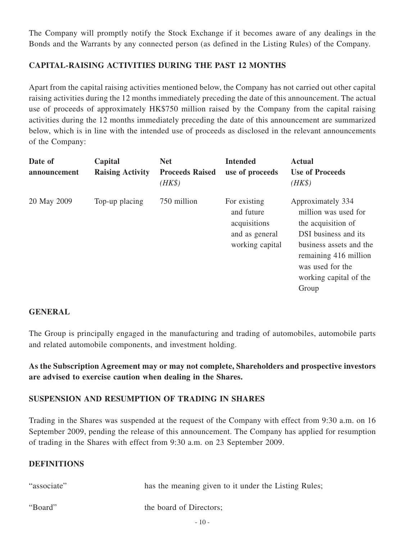The Company will promptly notify the Stock Exchange if it becomes aware of any dealings in the Bonds and the Warrants by any connected person (as defined in the Listing Rules) of the Company.

# **CAPITAL-RAISING ACTIVITIES DURING the PAST 12 MONTHS**

Apart from the capital raising activities mentioned below, the Company has not carried out other capital raising activities during the 12 months immediately preceding the date of this announcement. The actual use of proceeds of approximately HK\$750 million raised by the Company from the capital raising activities during the 12 months immediately preceding the date of this announcement are summarized below, which is in line with the intended use of proceeds as disclosed in the relevant announcements of the Company:

| Date of<br>announcement | Capital<br><b>Raising Activity</b> | <b>Net</b><br><b>Proceeds Raised</b><br>$(HK\$ | <b>Intended</b><br>use of proceeds                                              | <b>Actual</b><br><b>Use of Proceeds</b><br>$(HK\$                                                                                                                                                  |
|-------------------------|------------------------------------|------------------------------------------------|---------------------------------------------------------------------------------|----------------------------------------------------------------------------------------------------------------------------------------------------------------------------------------------------|
| 20 May 2009             | Top-up placing                     | 750 million                                    | For existing<br>and future<br>acquisitions<br>and as general<br>working capital | Approximately 334<br>million was used for<br>the acquisition of<br>DSI business and its<br>business assets and the<br>remaining 416 million<br>was used for the<br>working capital of the<br>Group |

## **GENERAL**

The Group is principally engaged in the manufacturing and trading of automobiles, automobile parts and related automobile components, and investment holding.

**As the Subscription Agreement may or may not complete, Shareholders and prospective investors are advised to exercise caution when dealing in the Shares.**

## **SUSPENSION AND RESUMPTION OF TRADING IN SHARES**

Trading in the Shares was suspended at the request of the Company with effect from 9:30 a.m. on 16 September 2009, pending the release of this announcement. The Company has applied for resumption of trading in the Shares with effect from 9:30 a.m. on 23 September 2009.

#### **DEFINITIONS**

| "associate" | has the meaning given to it under the Listing Rules; |
|-------------|------------------------------------------------------|
| "Board"     | the board of Directors;                              |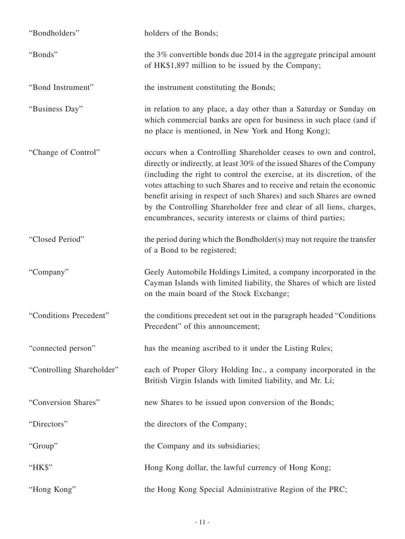| "Bondholders"             | holders of the Bonds;                                                                                                                                                                                                                                                                                                                                                                                                                                                                                            |
|---------------------------|------------------------------------------------------------------------------------------------------------------------------------------------------------------------------------------------------------------------------------------------------------------------------------------------------------------------------------------------------------------------------------------------------------------------------------------------------------------------------------------------------------------|
| "Bonds"                   | the 3% convertible bonds due 2014 in the aggregate principal amount<br>of HK\$1,897 million to be issued by the Company;                                                                                                                                                                                                                                                                                                                                                                                         |
| "Bond Instrument"         | the instrument constituting the Bonds;                                                                                                                                                                                                                                                                                                                                                                                                                                                                           |
| "Business Day"            | in relation to any place, a day other than a Saturday or Sunday on<br>which commercial banks are open for business in such place (and if<br>no place is mentioned, in New York and Hong Kong);                                                                                                                                                                                                                                                                                                                   |
| "Change of Control"       | occurs when a Controlling Shareholder ceases to own and control,<br>directly or indirectly, at least 30% of the issued Shares of the Company<br>(including the right to control the exercise, at its discretion, of the<br>votes attaching to such Shares and to receive and retain the economic<br>benefit arising in respect of such Shares) and such Shares are owned<br>by the Controlling Shareholder free and clear of all liens, charges,<br>encumbrances, security interests or claims of third parties; |
| "Closed Period"           | the period during which the Bondholder(s) may not require the transfer<br>of a Bond to be registered;                                                                                                                                                                                                                                                                                                                                                                                                            |
| "Company"                 | Geely Automobile Holdings Limited, a company incorporated in the<br>Cayman Islands with limited liability, the Shares of which are listed<br>on the main board of the Stock Exchange;                                                                                                                                                                                                                                                                                                                            |
| "Conditions Precedent"    | the conditions precedent set out in the paragraph headed "Conditions"<br>Precedent" of this announcement;                                                                                                                                                                                                                                                                                                                                                                                                        |
| "connected person"        | has the meaning ascribed to it under the Listing Rules;                                                                                                                                                                                                                                                                                                                                                                                                                                                          |
| "Controlling Shareholder" | each of Proper Glory Holding Inc., a company incorporated in the<br>British Virgin Islands with limited liability, and Mr. Li;                                                                                                                                                                                                                                                                                                                                                                                   |
| "Conversion Shares"       | new Shares to be issued upon conversion of the Bonds;                                                                                                                                                                                                                                                                                                                                                                                                                                                            |
| "Directors"               | the directors of the Company;                                                                                                                                                                                                                                                                                                                                                                                                                                                                                    |
| "Group"                   | the Company and its subsidiaries;                                                                                                                                                                                                                                                                                                                                                                                                                                                                                |
| "НК\$"                    | Hong Kong dollar, the lawful currency of Hong Kong;                                                                                                                                                                                                                                                                                                                                                                                                                                                              |
| "Hong Kong"               | the Hong Kong Special Administrative Region of the PRC;                                                                                                                                                                                                                                                                                                                                                                                                                                                          |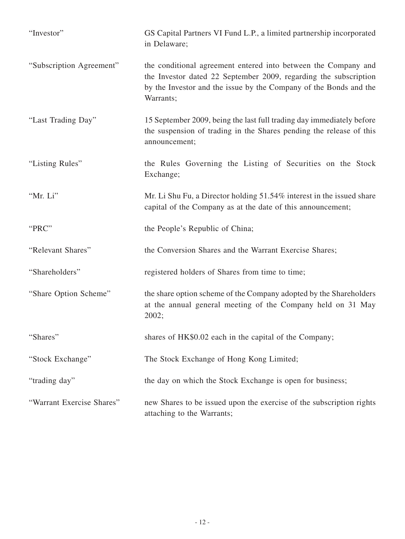| "Investor"                | GS Capital Partners VI Fund L.P., a limited partnership incorporated<br>in Delaware;                                                                                                                                 |
|---------------------------|----------------------------------------------------------------------------------------------------------------------------------------------------------------------------------------------------------------------|
| "Subscription Agreement"  | the conditional agreement entered into between the Company and<br>the Investor dated 22 September 2009, regarding the subscription<br>by the Investor and the issue by the Company of the Bonds and the<br>Warrants; |
| "Last Trading Day"        | 15 September 2009, being the last full trading day immediately before<br>the suspension of trading in the Shares pending the release of this<br>announcement;                                                        |
| "Listing Rules"           | the Rules Governing the Listing of Securities on the Stock<br>Exchange;                                                                                                                                              |
| "Mr. Li"                  | Mr. Li Shu Fu, a Director holding 51.54% interest in the issued share<br>capital of the Company as at the date of this announcement;                                                                                 |
| "PRC"                     | the People's Republic of China;                                                                                                                                                                                      |
| "Relevant Shares"         | the Conversion Shares and the Warrant Exercise Shares;                                                                                                                                                               |
| "Shareholders"            | registered holders of Shares from time to time;                                                                                                                                                                      |
| "Share Option Scheme"     | the share option scheme of the Company adopted by the Shareholders<br>at the annual general meeting of the Company held on 31 May<br>2002;                                                                           |
| "Shares"                  | shares of HK\$0.02 each in the capital of the Company;                                                                                                                                                               |
| "Stock Exchange"          | The Stock Exchange of Hong Kong Limited;                                                                                                                                                                             |
| "trading day"             | the day on which the Stock Exchange is open for business;                                                                                                                                                            |
| "Warrant Exercise Shares" | new Shares to be issued upon the exercise of the subscription rights<br>attaching to the Warrants;                                                                                                                   |